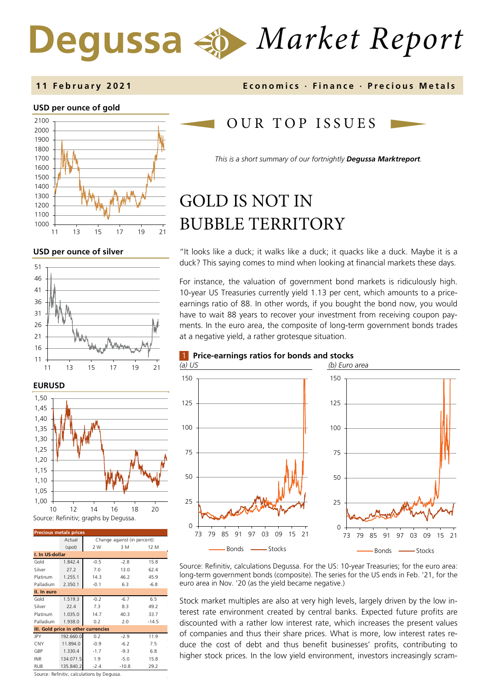# *Market Report*

#### **11 February 202 1 Economics · Finance · Precious M etals**

#### **USD per ounce of gold**



**USD per ounce of silver** 





| <b>Precious metals prices</b>       |           |                              |         |         |  |  |  |
|-------------------------------------|-----------|------------------------------|---------|---------|--|--|--|
|                                     | Actual    | Change against (in percent): |         |         |  |  |  |
|                                     | (spot)    | 2 W                          | 3 M     | 12 M    |  |  |  |
| I. In US-dollar                     |           |                              |         |         |  |  |  |
| Gold                                | 1.842.4   | $-0.5$                       | $-2.8$  | 15.8    |  |  |  |
| Silver                              | 27.2      | 7.0                          | 13.0    | 62.4    |  |  |  |
| Platinum                            | 1.255.1   | 14.3                         | 46.2    | 45.9    |  |  |  |
| Palladium                           | 2.350.1   | $-0.1$                       | 6.3     | $-6.8$  |  |  |  |
| II. In euro                         |           |                              |         |         |  |  |  |
| Gold                                | 1.519.3   | $-0.2$                       | $-6.7$  | 6.5     |  |  |  |
| Silver                              | 22.4      | 7.3                          | 8.3     | 49.2    |  |  |  |
| Platinum                            | 1.035.0   | 14.7                         | 40.3    | 33.7    |  |  |  |
| Palladium                           | 1.938.0   | 0.2                          | 2.0     | $-14.5$ |  |  |  |
| III. Gold price in other currencies |           |                              |         |         |  |  |  |
| JPY                                 | 192.660.0 | 0.2                          | $-2.9$  | 11.9    |  |  |  |
| <b>CNY</b>                          | 11.894.0  | $-0.9$                       | $-6.2$  | 7.5     |  |  |  |
| GBP                                 | 1.330.4   | $-1.7$                       | $-9.3$  | 6.8     |  |  |  |
| <b>INR</b>                          | 134.071.5 | 1.9                          | $-5.0$  | 15.8    |  |  |  |
| <b>RUB</b>                          | 135.840.2 | $-2.4$                       | $-10.8$ | 29.2    |  |  |  |

OUR TOP ISSUE S

*This is a short summary of our fortnightly Degussa Marktreport.*

## GOLD IS NOT IN BUBBLE TERRITORY

1 **Price-earnings ratios for bonds and stocks**

"It looks like a duck; it walks like a duck; it quacks like a duck. Maybe it is a duck? This saying comes to mind when looking at financial markets these days.

For instance, the valuation of government bond markets is ridiculously high. 10-year US Treasuries currently yield 1.13 per cent, which amounts to a priceearnings ratio of 88. In other words, if you bought the bond now, you would have to wait 88 years to recover your investment from receiving coupon payments. In the euro area, the composite of long-term government bonds trades at a negative yield, a rather grotesque situation.



Source: Refinitiv, calculations Degussa. For the US: 10-year Treasuries; for the euro area: long-term government bonds (composite). The series for the US ends in Feb. '21, for the euro area in Nov. '20 (as the yield became negative.)

Stock market multiples are also at very high levels, largely driven by the low interest rate environment created by central banks. Expected future profits are discounted with a rather low interest rate, which increases the present values of companies and thus their share prices. What is more, low interest rates reduce the cost of debt and thus benefit businesses' profits, contributing to higher stock prices. In the low yield environment, investors increasingly scram-

Source: Refinitiv; calculations by Degussa.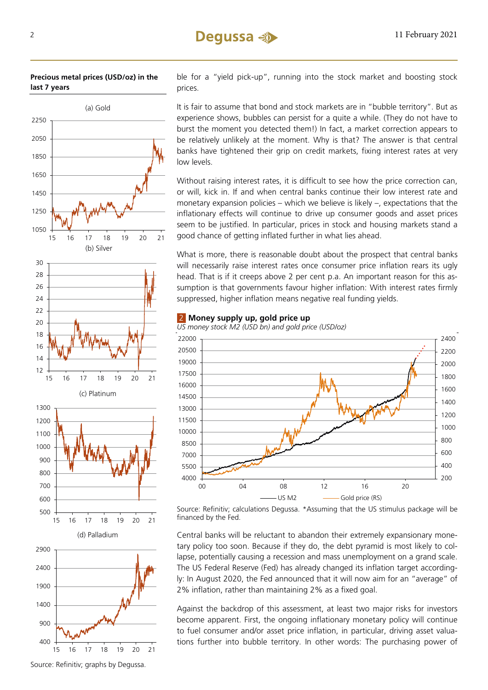## (a) Gold (b) Silver (c) Platinum (d) Palladium 16 17 18 19 20 21 16 17 18 19 20 21 16 17 18 19 20 21

**Precious metal prices (USD/oz) in the last 7 years**

ble for a "yield pick-up", running into the stock market and boosting stock prices.

It is fair to assume that bond and stock markets are in "bubble territory". But as experience shows, bubbles can persist for a quite a while. (They do not have to burst the moment you detected them!) In fact, a market correction appears to be relatively unlikely at the moment. Why is that? The answer is that central banks have tightened their grip on credit markets, fixing interest rates at very low levels.

Without raising interest rates, it is difficult to see how the price correction can, or will, kick in. If and when central banks continue their low interest rate and monetary expansion policies – which we believe is likely –, expectations that the inflationary effects will continue to drive up consumer goods and asset prices seem to be justified. In particular, prices in stock and housing markets stand a good chance of getting inflated further in what lies ahead.

What is more, there is reasonable doubt about the prospect that central banks will necessarily raise interest rates once consumer price inflation rears its ugly head. That is if it creeps above 2 per cent p.a. An important reason for this assumption is that governments favour higher inflation: With interest rates firmly suppressed, higher inflation means negative real funding yields.



**Money supply up, gold price up** 

Source: Refinitiv; calculations Degussa. \*Assuming that the US stimulus package will be financed by the Fed.

Central banks will be reluctant to abandon their extremely expansionary monetary policy too soon. Because if they do, the debt pyramid is most likely to collapse, potentially causing a recession and mass unemployment on a grand scale. The US Federal Reserve (Fed) has already changed its inflation target accordingly: In August 2020, the Fed announced that it will now aim for an "average" of 2% inflation, rather than maintaining 2% as a fixed goal.

Against the backdrop of this assessment, at least two major risks for investors become apparent. First, the ongoing inflationary monetary policy will continue to fuel consumer and/or asset price inflation, in particular, driving asset valuations further into bubble territory. In other words: The purchasing power of

Source: Refinitiv; graphs by Degussa.

16 17 18 19 20 21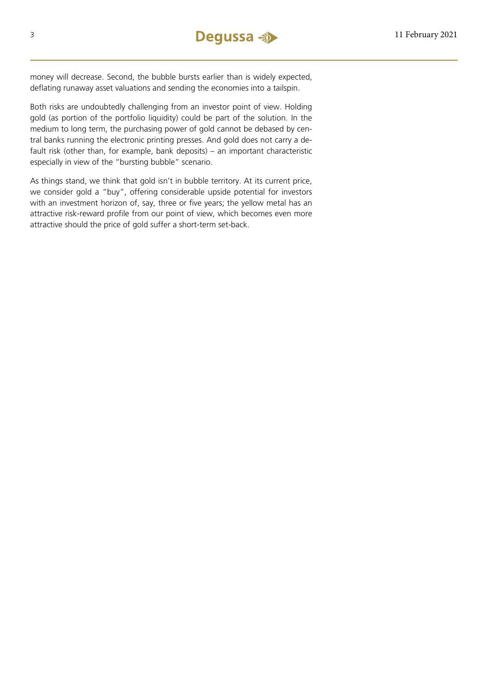money will decrease. Second, the bubble bursts earlier than is widely expected, deflating runaway asset valuations and sending the economies into a tailspin.

Both risks are undoubtedly challenging from an investor point of view. Holding gold (as portion of the portfolio liquidity) could be part of the solution. In the medium to long term, the purchasing power of gold cannot be debased by central banks running the electronic printing presses. And gold does not carry a default risk (other than, for example, bank deposits) – an important characteristic especially in view of the "bursting bubble" scenario.

As things stand, we think that gold isn't in bubble territory. At its current price, we consider gold a "buy", offering considerable upside potential for investors with an investment horizon of, say, three or five years; the yellow metal has an attractive risk-reward profile from our point of view, which becomes even more attractive should the price of gold suffer a short-term set-back.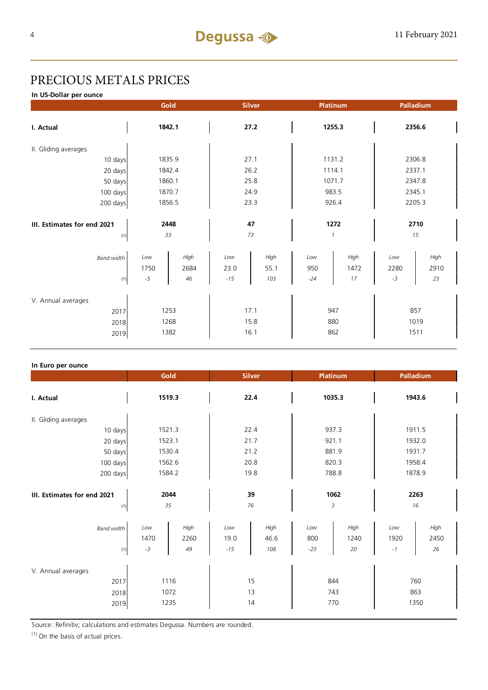## PRECIOUS METALS PRICES

**In US-Dollar per ounce**

|                                            |                     | Gold                 | <b>Silver</b>        |                      | Platinum            |                    | Palladium           |                     |
|--------------------------------------------|---------------------|----------------------|----------------------|----------------------|---------------------|--------------------|---------------------|---------------------|
| I. Actual                                  | 1842.1              |                      | 27.2                 |                      | 1255.3              |                    | 2356.6              |                     |
| II. Gliding averages                       |                     |                      |                      |                      |                     |                    |                     |                     |
| 10 days                                    |                     | 1835.9               |                      | 27.1                 |                     | 1131.2             |                     | 2306.8              |
| 20 days                                    |                     | 1842.4               |                      | 26.2                 |                     | 1114.1             |                     | 2337.1              |
| 50 days                                    |                     | 1860.1               |                      | 25.8                 |                     | 1071.7             |                     | 2347.8              |
| 100 days                                   |                     | 1870.7               |                      | 24.9                 |                     | 983.5              |                     | 2345.1              |
| 200 days                                   |                     | 1856.5               |                      | 23.3                 |                     | 926.4              |                     | 2205.3              |
| III. Estimates for end 2021<br>(1)         |                     | 2448<br>33           |                      | 47<br>73             | 1                   | 1272               |                     | 2710<br>15          |
| <b>Band width</b><br>(1)                   | Low<br>1750<br>$-5$ | High<br>2684<br>46   | Low<br>23.0<br>$-15$ | High<br>55.1<br>103  | Low<br>950<br>$-24$ | High<br>1472<br>17 | Low<br>2280<br>$-3$ | High<br>2910<br>23  |
| V. Annual averages<br>2017<br>2018<br>2019 |                     | 1253<br>1268<br>1382 |                      | 17.1<br>15.8<br>16.1 | 947                 | 880<br>862         |                     | 857<br>1019<br>1511 |

#### **In Euro per ounce**

|                                            | Gold                                      | <b>Silver</b>                               | Platinum                                  | Palladium                                 |  |
|--------------------------------------------|-------------------------------------------|---------------------------------------------|-------------------------------------------|-------------------------------------------|--|
| I. Actual                                  | 1519.3                                    | 22.4                                        | 1035.3                                    | 1943.6                                    |  |
| II. Gliding averages                       |                                           |                                             |                                           |                                           |  |
| 10 days                                    | 1521.3                                    | 22.4                                        | 937.3                                     | 1911.5                                    |  |
| 20 days                                    | 1523.1                                    | 21.7                                        | 921.1                                     | 1932.0                                    |  |
| 50 days                                    | 1530.4                                    | 21.2                                        | 881.9                                     | 1931.7                                    |  |
| 100 days                                   | 1562.6                                    | 20.8                                        | 820.3                                     | 1958.4                                    |  |
| 200 days                                   | 1584.2                                    | 19.8                                        | 788.8                                     | 1878.9                                    |  |
| III. Estimates for end 2021<br>(1)         | 2044<br>35                                | 39<br>76                                    | 1062<br>3                                 | 2263<br>16                                |  |
| <b>Band width</b><br>(1)                   | High<br>Low<br>1470<br>2260<br>$-3$<br>49 | Low<br>High<br>19.0<br>46.6<br>$-15$<br>108 | High<br>Low<br>800<br>1240<br>$-23$<br>20 | High<br>Low<br>1920<br>2450<br>26<br>$-1$ |  |
| V. Annual averages<br>2017<br>2018<br>2019 | 1116<br>1072<br>1235                      | 15<br>13<br>14                              | 844<br>743<br>770                         | 760<br>863<br>1350                        |  |

Source: Refinitiv; calculations and estimates Degussa. Numbers are rounded.

 $(1)$  On the basis of actual prices.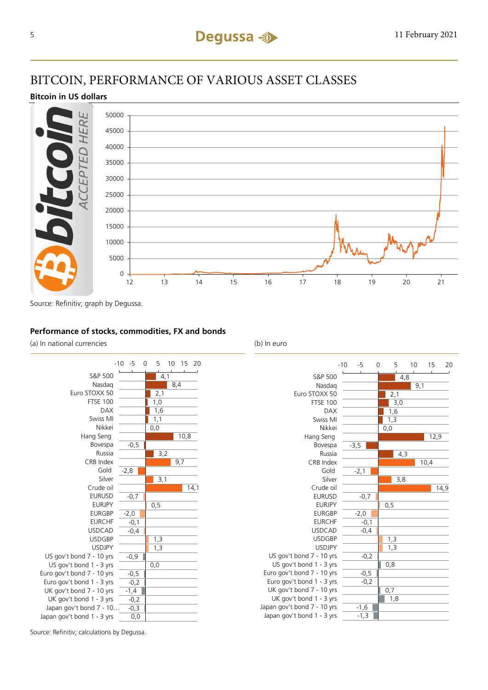## BITCOIN, PERFORMANCE OF VARIOUS ASSET CLASSES

#### **Bitcoin in US dollars**



Source: Refinitiv; graph by Degussa.

### **Performance of stocks, commodities, FX and bonds**

(a) In national currencies (b) In euro





Source: Refinitiv; calculations by Degussa.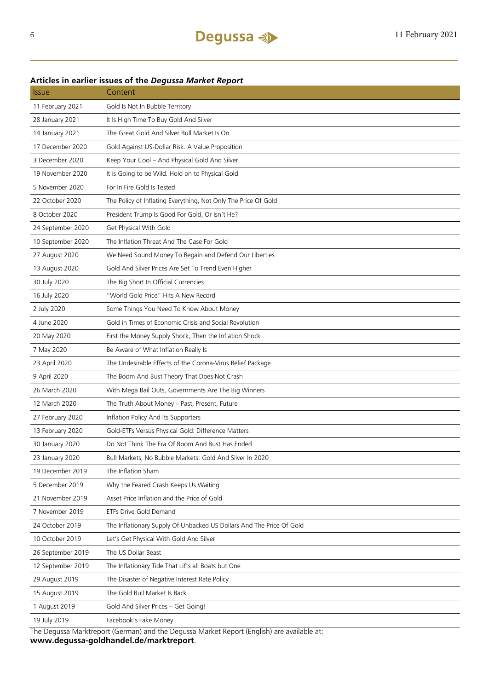## Issue Content 11 February 2021 Gold Is Not In Bubble Territory 28 January 2021 It Is High Time To Buy Gold And Silver 14 January 2021 The Great Gold And Silver Bull Market Is On 17 December 2020 Gold Against US-Dollar Risk. A Value Proposition 3 December 2020 Keep Your Cool – And Physical Gold And Silver 19 November 2020 It is Going to be Wild. Hold on to Physical Gold 5 November 2020 For In Fire Gold Is Tested 22 October 2020 The Policy of Inflating Everything, Not Only The Price Of Gold 8 October 2020 President Trump Is Good For Gold, Or Isn't He? 24 September 2020 Get Physical With Gold 10 September 2020 The Inflation Threat And The Case For Gold 27 August 2020 We Need Sound Money To Regain and Defend Our Liberties 13 August 2020 Gold And Silver Prices Are Set To Trend Even Higher 30 July 2020 The Big Short In Official Currencies 16 July 2020 "World Gold Price" Hits A New Record 2 July 2020 Some Things You Need To Know About Money 4 June 2020 Gold in Times of Economic Crisis and Social Revolution 20 May 2020 First the Money Supply Shock, Then the Inflation Shock 7 May 2020 Be Aware of What Inflation Really Is 23 April 2020 The Undesirable Effects of the Corona-Virus Relief Package 9 April 2020 The Boom And Bust Theory That Does Not Crash 26 March 2020 With Mega Bail Outs, Governments Are The Big Winners 12 March 2020 The Truth About Money – Past, Present, Future 27 February 2020 Inflation Policy And Its Supporters 13 February 2020 Gold-ETFs Versus Physical Gold: Difference Matters 30 January 2020 Do Not Think The Era Of Boom And Bust Has Ended 23 January 2020 Bull Markets, No Bubble Markets: Gold And Silver In 2020 19 December 2019 The Inflation Sham 5 December 2019 Why the Feared Crash Keeps Us Waiting 21 November 2019 Asset Price Inflation and the Price of Gold 7 November 2019 ETFs Drive Gold Demand 24 October 2019 The Inflationary Supply Of Unbacked US Dollars And The Price Of Gold 10 October 2019 Let's Get Physical With Gold And Silver

#### **Articles in earlier issues of the** *Degussa Market Report*

The Degussa Marktreport (German) and the Degussa Market Report (English) are available at: **www.degussa-goldhandel.de/marktreport**.

26 September 2019 The US Dollar Beast

15 August 2019 The Gold Bull Market Is Back

19 July 2019 Facebook's Fake Money

1 August 2019 Gold And Silver Prices – Get Going!

12 September 2019 The Inflationary Tide That Lifts all Boats but One 29 August 2019 The Disaster of Negative Interest Rate Policy